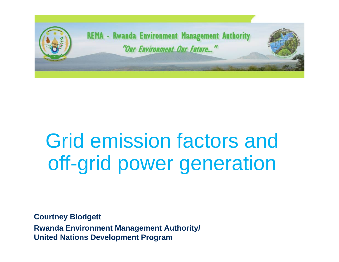

# Grid emission factors and off-grid power generation

**Courtney Blodgett Rwanda Environment Management Authority/ United Nations Development Program**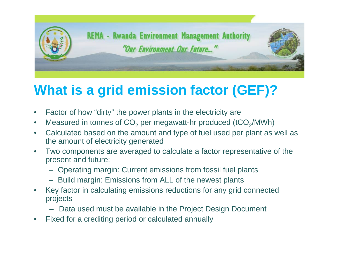

#### **What is a grid emission factor (GEF)?**

- Factor of how "dirty" the power plants in the electricity are
- Measured in tonnes of  $CO<sub>2</sub>$  per megawatt-hr produced (tCO<sub>2</sub>/MWh)
- Calculated based on the amount and type of fuel used per plant as well as the amount of electricity generated
- Two components are averaged to calculate a factor representative of the present and future:
	- Operating margin: Current emissions from fossil fuel plants
	- Build margin: Emissions from ALL of the newest plants
- Key factor in calculating emissions reductions for any grid connected projects
	- Data used must be available in the Project Design Document
- Fixed for a crediting period or calculated annually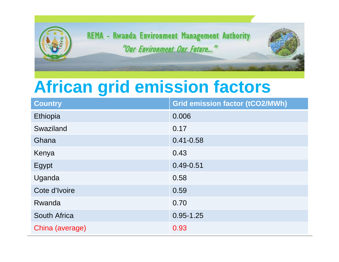

## **African grid emission factors**

| <b>Country</b>      | <b>Grid emission factor (tCO2/MWh)</b> |
|---------------------|----------------------------------------|
| Ethiopia            | 0.006                                  |
| Swaziland           | 0.17                                   |
| Ghana               | $0.41 - 0.58$                          |
| Kenya               | 0.43                                   |
| Egypt               | $0.49 - 0.51$                          |
| Uganda              | 0.58                                   |
| Cote d'Ivoire       | 0.59                                   |
| Rwanda              | 0.70                                   |
| <b>South Africa</b> | $0.95 - 1.25$                          |
| China (average)     | 0.93                                   |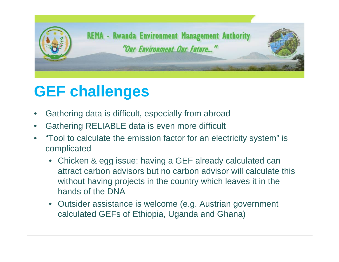

#### **GEF challenges**

- Gathering data is difficult, especially from abroad
- Gathering RELIABLE data is even more difficult
- "Tool to calculate the emission factor for an electricity system" is complicated
	- Chicken & egg issue: having a GEF already calculated can attract carbon advisors but no carbon advisor will calculate this without having projects in the country which leaves it in the hands of the DNA
	- Outsider assistance is welcome (e.g. Austrian government calculated GEFs of Ethiopia, Uganda and Ghana)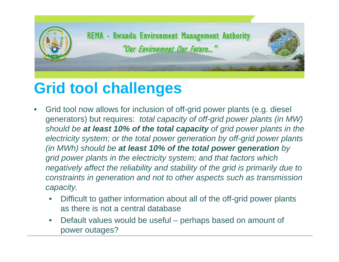

### **Grid tool challenges**

- Grid tool now allows for inclusion of off-grid power plants (e.g. diesel generators) but requires: *total capacity of off-grid power plants (in MW) should be at least 10% of the total capacity of grid power plants in the electricity system; or the total power generation by off-grid power plants (in MWh) should be at least 10% of the total power generation by grid power plants in the electricity system; and that factors which negatively affect the reliability and stability of the grid is primarily due to constraints in generation and not to other aspects such as transmission capacity.*
	- Difficult to gather information about all of the off-grid power plants as there is not a central database
	- Default values would be useful perhaps based on amount of power outages?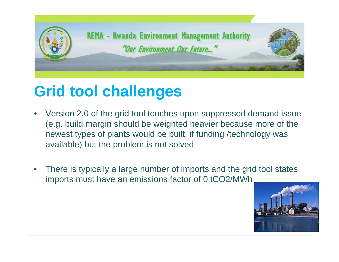

#### **Grid tool challenges**

- Version 2.0 of the grid tool touches upon suppressed demand issue (e.g. build margin should be weighted heavier because more of the newest types of plants would be built, if funding /technology was available) but the problem is not solved
- There is typically a large number of imports and the grid tool states imports must have an emissions factor of 0 tCO2/MWh